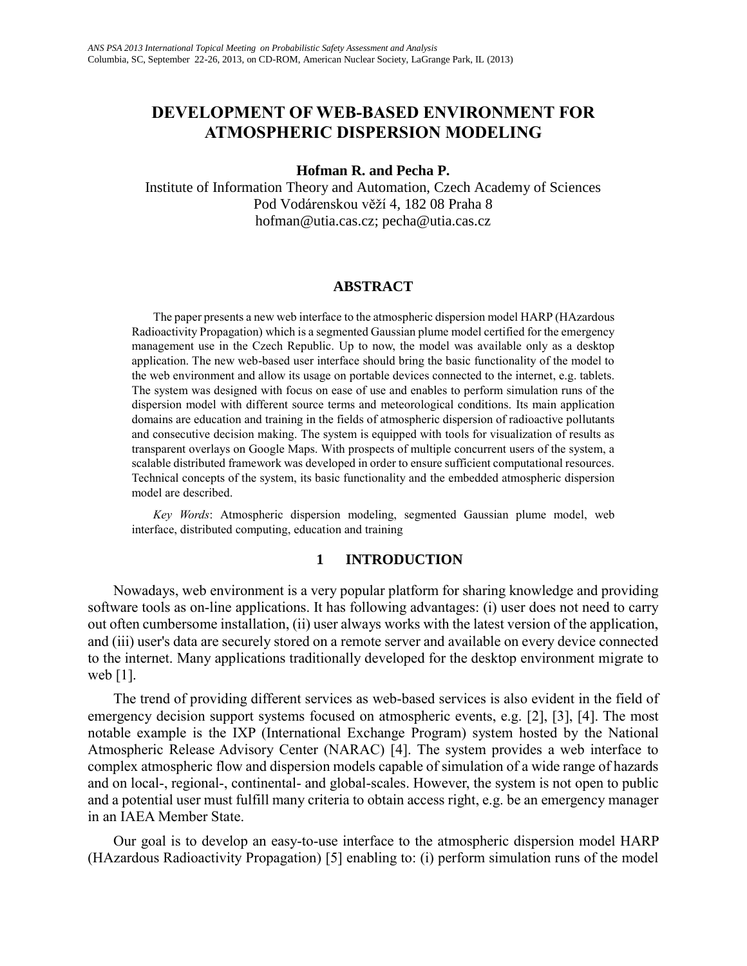### **DEVELOPMENT OF WEB-BASED ENVIRONMENT FOR ATMOSPHERIC DISPERSION MODELING**

#### **Hofman R. and Pecha P.**

Institute of Information Theory and Automation, Czech Academy of Sciences Pod Vodárenskou věží 4, 182 08 Praha 8 hofman@utia.cas.cz; pecha@utia.cas.cz

#### **ABSTRACT**

 The paper presents a new web interface to the atmospheric dispersion model HARP (HAzardous Radioactivity Propagation) which is a segmented Gaussian plume model certified for the emergency management use in the Czech Republic. Up to now, the model was available only as a desktop application. The new web-based user interface should bring the basic functionality of the model to the web environment and allow its usage on portable devices connected to the internet, e.g. tablets. The system was designed with focus on ease of use and enables to perform simulation runs of the dispersion model with different source terms and meteorological conditions. Its main application domains are education and training in the fields of atmospheric dispersion of radioactive pollutants and consecutive decision making. The system is equipped with tools for visualization of results as transparent overlays on Google Maps. With prospects of multiple concurrent users of the system, a scalable distributed framework was developed in order to ensure sufficient computational resources. Technical concepts of the system, its basic functionality and the embedded atmospheric dispersion model are described.

 *Key Words*: Atmospheric dispersion modeling, segmented Gaussian plume model, web interface, distributed computing, education and training

#### **1 INTRODUCTION**

 Nowadays, web environment is a very popular platform for sharing knowledge and providing software tools as on-line applications. It has following advantages: (i) user does not need to carry out often cumbersome installation, (ii) user always works with the latest version of the application, and (iii) user's data are securely stored on a remote server and available on every device connected to the internet. Many applications traditionally developed for the desktop environment migrate to web [1].

 The trend of providing different services as web-based services is also evident in the field of emergency decision support systems focused on atmospheric events, e.g. [2], [3], [4]. The most notable example is the IXP (International Exchange Program) system hosted by the National Atmospheric Release Advisory Center (NARAC) [4]. The system provides a web interface to complex atmospheric flow and dispersion models capable of simulation of a wide range of hazards and on local-, regional-, continental- and global-scales. However, the system is not open to public and a potential user must fulfill many criteria to obtain access right, e.g. be an emergency manager in an IAEA Member State.

 Our goal is to develop an easy-to-use interface to the atmospheric dispersion model HARP (HAzardous Radioactivity Propagation) [5] enabling to: (i) perform simulation runs of the model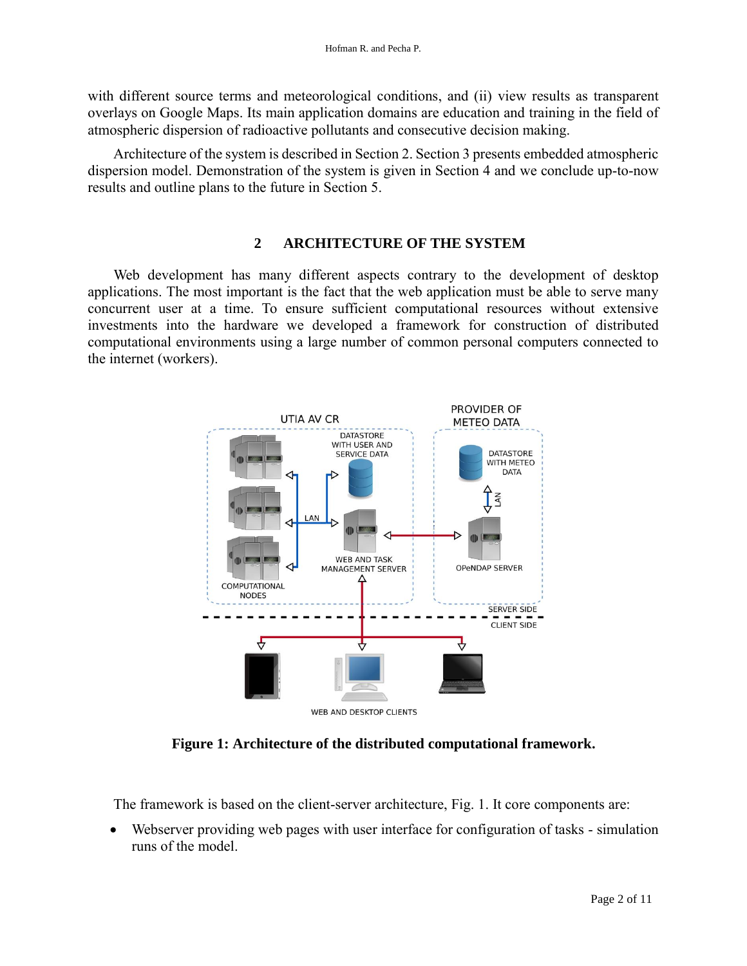with different source terms and meteorological conditions, and (ii) view results as transparent overlays on Google Maps. Its main application domains are education and training in the field of atmospheric dispersion of radioactive pollutants and consecutive decision making.

 Architecture of the system is described in Section 2. Section 3 presents embedded atmospheric dispersion model. Demonstration of the system is given in Section 4 and we conclude up-to-now results and outline plans to the future in Section 5.

#### **2 ARCHITECTURE OF THE SYSTEM**

 Web development has many different aspects contrary to the development of desktop applications. The most important is the fact that the web application must be able to serve many concurrent user at a time. To ensure sufficient computational resources without extensive investments into the hardware we developed a framework for construction of distributed computational environments using a large number of common personal computers connected to the internet (workers).



**Figure 1: Architecture of the distributed computational framework.**

The framework is based on the client-server architecture, Fig. 1. It core components are:

 Webserver providing web pages with user interface for configuration of tasks - simulation runs of the model.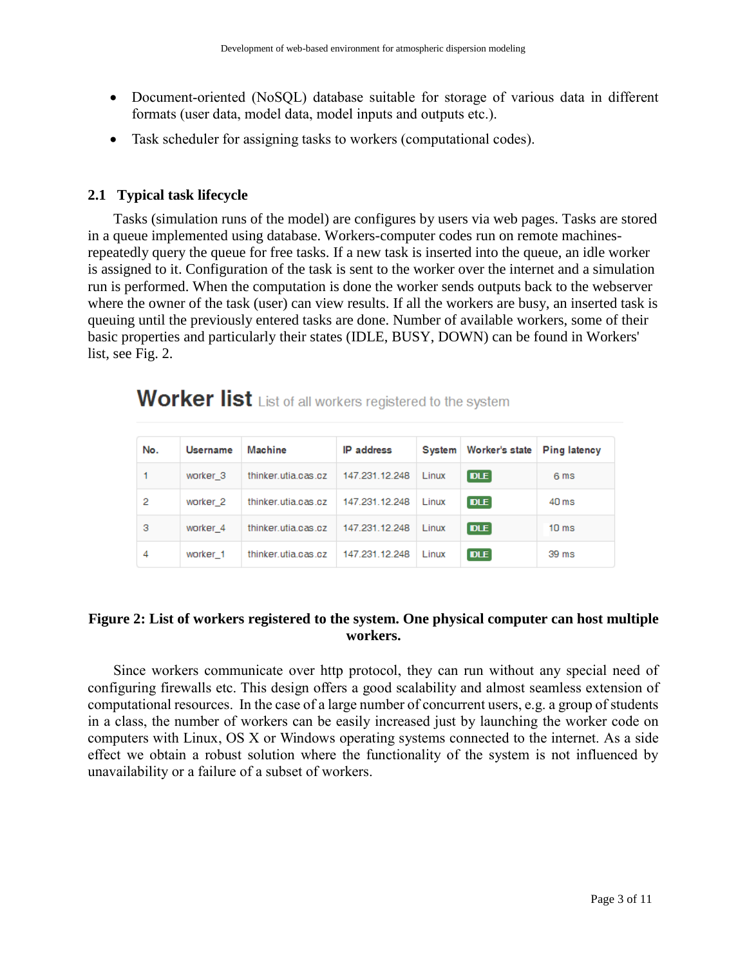- Document-oriented (NoSQL) database suitable for storage of various data in different formats (user data, model data, model inputs and outputs etc.).
- Task scheduler for assigning tasks to workers (computational codes).

#### **2.1 Typical task lifecycle**

 Tasks (simulation runs of the model) are configures by users via web pages. Tasks are stored in a queue implemented using database. Workers-computer codes run on remote machinesrepeatedly query the queue for free tasks. If a new task is inserted into the queue, an idle worker is assigned to it. Configuration of the task is sent to the worker over the internet and a simulation run is performed. When the computation is done the worker sends outputs back to the webserver where the owner of the task (user) can view results. If all the workers are busy, an inserted task is queuing until the previously entered tasks are done. Number of available workers, some of their basic properties and particularly their states (IDLE, BUSY, DOWN) can be found in Workers' list, see Fig. 2.

# Worker list List of all workers registered to the system

| No. | Username            | Machine             | <b>IP</b> address | System | Worker's state | <b>Ping latency</b> |
|-----|---------------------|---------------------|-------------------|--------|----------------|---------------------|
|     | worker <sub>3</sub> | thinker.utia.cas.cz | 147.231.12.248    | Linux  | <b>DLE</b>     | 6 ms                |
| 2   | worker <sub>2</sub> | thinker.utia.cas.cz | 147.231.12.248    | Linux  | <b>DLE</b>     | 40 <sub>ms</sub>    |
| з   | worker 4            | thinker.utia.cas.cz | 147.231.12.248    | Linux  | <b>DLE</b>     | 10 <sub>ms</sub>    |
| 4   | worker 1            | thinker utia cas.cz | 147.231.12.248    | Linux  | <b>DLE</b>     | 39 ms               |

#### **Figure 2: List of workers registered to the system. One physical computer can host multiple workers.**

 Since workers communicate over http protocol, they can run without any special need of configuring firewalls etc. This design offers a good scalability and almost seamless extension of computational resources. In the case of a large number of concurrent users, e.g. a group of students in a class, the number of workers can be easily increased just by launching the worker code on computers with Linux, OS X or Windows operating systems connected to the internet. As a side effect we obtain a robust solution where the functionality of the system is not influenced by unavailability or a failure of a subset of workers.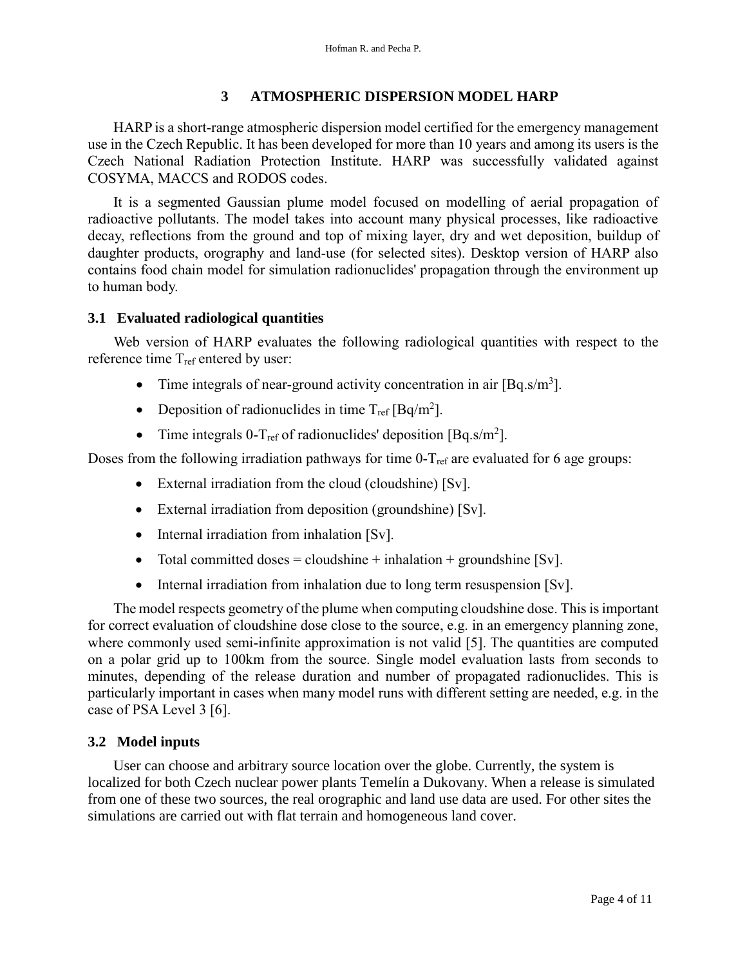#### **3 ATMOSPHERIC DISPERSION MODEL HARP**

 HARP is a short-range atmospheric dispersion model certified for the emergency management use in the Czech Republic. It has been developed for more than 10 years and among its users is the Czech National Radiation Protection Institute. HARP was successfully validated against COSYMA, MACCS and RODOS codes.

 It is a segmented Gaussian plume model focused on modelling of aerial propagation of radioactive pollutants. The model takes into account many physical processes, like radioactive decay, reflections from the ground and top of mixing layer, dry and wet deposition, buildup of daughter products, orography and land-use (for selected sites). Desktop version of HARP also contains food chain model for simulation radionuclides' propagation through the environment up to human body.

#### **3.1 Evaluated radiological quantities**

 Web version of HARP evaluates the following radiological quantities with respect to the reference time  $T_{ref}$  entered by user:

- Time integrals of near-ground activity concentration in air  $[Bq.s/m^3]$ .
- Deposition of radionuclides in time  $T_{ref}$  [Bq/m<sup>2</sup>].
- Time integrals 0-T<sub>ref</sub> of radionuclides' deposition [Bq.s/m<sup>2</sup>].

Doses from the following irradiation pathways for time  $0-T_{ref}$  are evaluated for 6 age groups:

- External irradiation from the cloud (cloudshine) [Sv].
- External irradiation from deposition (groundshine) [Sv].
- Internal irradiation from inhalation [Sv].
- Total committed doses  $=$  cloudshine  $+$  inhalation  $+$  groundshine [Sv].
- Internal irradiation from inhalation due to long term resuspension [Sv].

 The model respects geometry of the plume when computing cloudshine dose. This is important for correct evaluation of cloudshine dose close to the source, e.g. in an emergency planning zone, where commonly used semi-infinite approximation is not valid [5]. The quantities are computed on a polar grid up to 100km from the source. Single model evaluation lasts from seconds to minutes, depending of the release duration and number of propagated radionuclides. This is particularly important in cases when many model runs with different setting are needed, e.g. in the case of PSA Level 3 [6].

#### **3.2 Model inputs**

 User can choose and arbitrary source location over the globe. Currently, the system is localized for both Czech nuclear power plants Temelín a Dukovany. When a release is simulated from one of these two sources, the real orographic and land use data are used. For other sites the simulations are carried out with flat terrain and homogeneous land cover.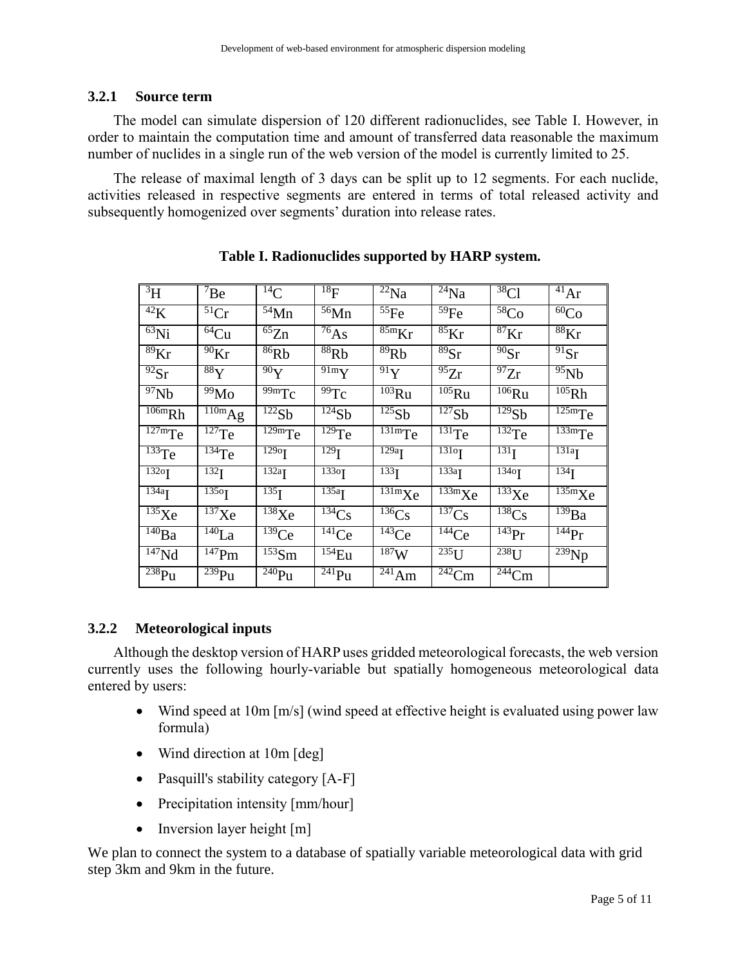#### **3.2.1 Source term**

 The model can simulate dispersion of 120 different radionuclides, see Table I. However, in order to maintain the computation time and amount of transferred data reasonable the maximum number of nuclides in a single run of the web version of the model is currently limited to 25.

 The release of maximal length of 3 days can be split up to 12 segments. For each nuclide, activities released in respective segments are entered in terms of total released activity and subsequently homogenized over segments' duration into release rates.

| $\overline{3}H$                 | $\mathrm{^7Be}$                 | $^{14}$ C                                    | $^{18}F$                          | $\overline{^{22}}$ Na              | $^{24}$ Na                                   | $38$ Cl                       | $\overline{41}Ar$                      |
|---------------------------------|---------------------------------|----------------------------------------------|-----------------------------------|------------------------------------|----------------------------------------------|-------------------------------|----------------------------------------|
| 42K                             | 51Cr                            | $54$ Mn                                      | $56$ Mn                           | $55$ Fe                            | $\overline{^{59}}$ Fe                        | 58 <sub>Co</sub>              | 60 <sub>Co</sub>                       |
| $\overline{^{63}}$ Ni           | $\overline{64}$ Cu              | $\overline{^{65}}Zn$                         | $^{76}$ As                        | $85m$ Kr                           | $85\text{Kr}$                                | $87\text{Kr}$                 | $88\text{Kr}$                          |
| $\overline{89}$ Kr              | $\rm{^{90}Kr}$                  | 86Rb                                         | 88Rb                              | 89Rb                               | 89Sr                                         | $\overline{90}$ Sr            | $91$ Sr                                |
| $\overline{^{92}}\text{Sr}$     | $88$ Y                          | $\overline{90}Y$                             | $\overline{9}$ 1m $\overline{Y}$  | $\overline{9}$ <sup>1</sup> Y      | $\overline{^{95}}Zr$                         | $\overline{^{97}}Zr$          | $\overline{^{95}}Nb$                   |
| $\overline{97}Nb$               | 99M <sub>0</sub>                | $99m$ Tc                                     | $\overline{99}$ Tc                | $\overline{^{103}}Ru$              | $\overline{^{105}}Ru$                        | $\overline{^{106}}Ru$         | $\overline{^{105}}Rh$                  |
| $\overline{106m}Rh$             | $\overline{^{110m}}Ag$          | $\overline{122}Sb$                           | $\overline{^{124}}Sb$             | $\overline{^{125}}Sb$              | $\overline{127}Sb$                           | $\overline{^{129}}Sb$         | $\overline{125}$ m $Te$                |
| $\overline{\overline{127}}$ mTe | $127$ Te                        | $\overline{129}$ m $\overline{Te}$           | $129$ Te                          | $131 \text{mT}$ e                  | $131$ Te                                     | $132$ Te                      | $\overline{\text{133m}}$ Te            |
| $\overline{^{133}}$ Te          | $134$ Te                        | $\overline{129}$ <sup>o</sup> $\overline{1}$ | $\overline{129}$ <sub>I</sub>     | $\overline{129a}$                  | $\overline{131}$ <sup>o</sup> $\overline{1}$ | $\overline{131}$ <sub>I</sub> | $\overline{131a}$ <sub>I</sub>         |
| $132$ <sup>o</sup> I            | 132 <sub>I</sub>                | $132a$ <sup>T</sup>                          | 1330                              | $\overline{133}$ <sub>I</sub>      | $\overline{133a}$                            | 1340                          | $\overline{134}$                       |
| 134a                            | $\overline{135}$ o <sub>I</sub> | $\overline{135}$ <sub>I</sub>                | $\overline{135}a$ <sup>L</sup>    | $\overline{13}1m$ Xe               | $\frac{133 \text{m}}{133 \text{m}}$ Xe       | $\overline{^{133}}$ Xe        | $\frac{135 \text{m}}{135 \text{m}}$ Xe |
| $\overline{^{135}}$ Xe          | $\overline{^{137}}$ Xe          | $\overline{^{138}}$ Xe                       | $\overline{^{134}}Cs$             | $\overline{^{136}}Cs$              | $\overline{^{137}}Cs$                        | $\overline{^{138}}Cs$         | $139$ Ba                               |
| $\overline{^{140}}Ba$           | $\overline{^{140}}La$           | $\overline{^{139}}Ce$                        | $\overline{14}$ <sup>141</sup> Ce | $\overline{^{143}}Ce$              | $\overline{^{144}}Ce$                        | $143$ Pr                      | $\overline{^{144}}\text{Pr}$           |
| $\overline{147}Nd$              | $147$ Pm                        | $\overline{^{153}}$ Sm                       | $154$ Eu                          | 187W                               | $\overline{^{235}}U$                         | $238$ U                       | $\overline{^{239}}Np$                  |
| $238$ Pu                        | $239$ Pu                        | $240$ Pu                                     | $\overline{^{241}}$ Pu            | $\overline{^{24}}$ <sup>1</sup> Am | $\overline{^{242}}$ Cm                       | $\overline{^{244}}$ Cm        |                                        |

#### **Table I. Radionuclides supported by HARP system.**

#### **3.2.2 Meteorological inputs**

 Although the desktop version of HARP uses gridded meteorological forecasts, the web version currently uses the following hourly-variable but spatially homogeneous meteorological data entered by users:

- Wind speed at 10m [m/s] (wind speed at effective height is evaluated using power law formula)
- Wind direction at 10m [deg]
- Pasquill's stability category [A-F]
- Precipitation intensity [mm/hour]
- $\bullet$  Inversion layer height  $[m]$

We plan to connect the system to a database of spatially variable meteorological data with grid step 3km and 9km in the future.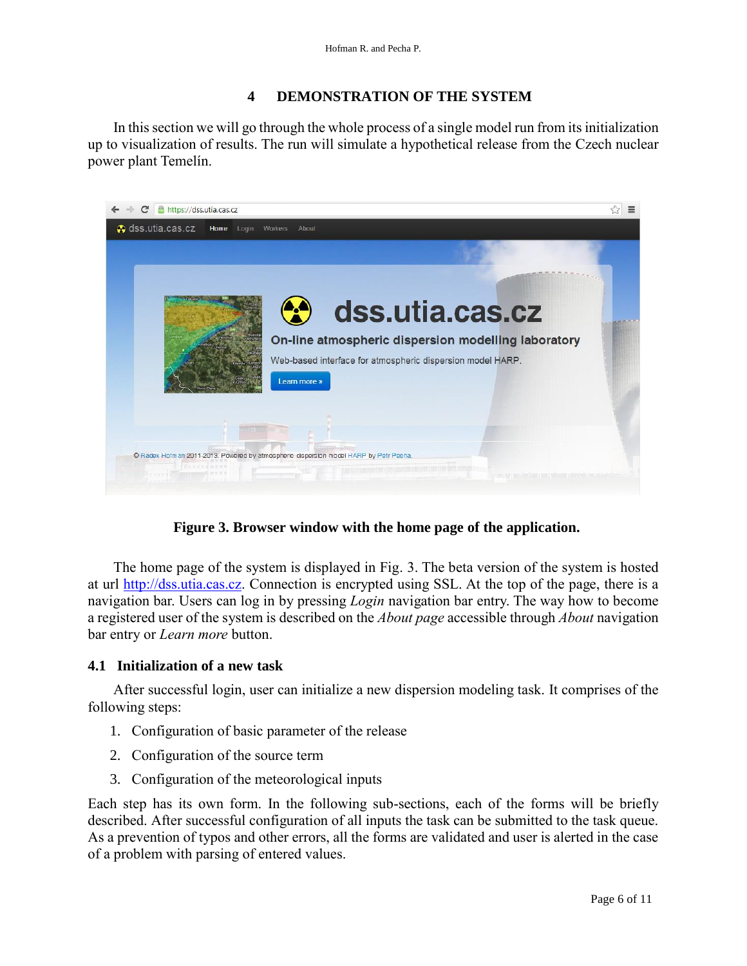#### **4 DEMONSTRATION OF THE SYSTEM**

 In this section we will go through the whole process of a single model run from its initialization up to visualization of results. The run will simulate a hypothetical release from the Czech nuclear power plant Temelín.



**Figure 3. Browser window with the home page of the application.**

 The home page of the system is displayed in Fig. 3. The beta version of the system is hosted at url [http://dss.utia.cas.cz.](http://dss.utia.cas.cz/) Connection is encrypted using SSL. At the top of the page, there is a navigation bar. Users can log in by pressing *Login* navigation bar entry. The way how to become a registered user of the system is described on the *About page* accessible through *About* navigation bar entry or *Learn more* button.

#### **4.1 Initialization of a new task**

 After successful login, user can initialize a new dispersion modeling task. It comprises of the following steps:

- 1. Configuration of basic parameter of the release
- 2. Configuration of the source term
- 3. Configuration of the meteorological inputs

Each step has its own form. In the following sub-sections, each of the forms will be briefly described. After successful configuration of all inputs the task can be submitted to the task queue. As a prevention of typos and other errors, all the forms are validated and user is alerted in the case of a problem with parsing of entered values.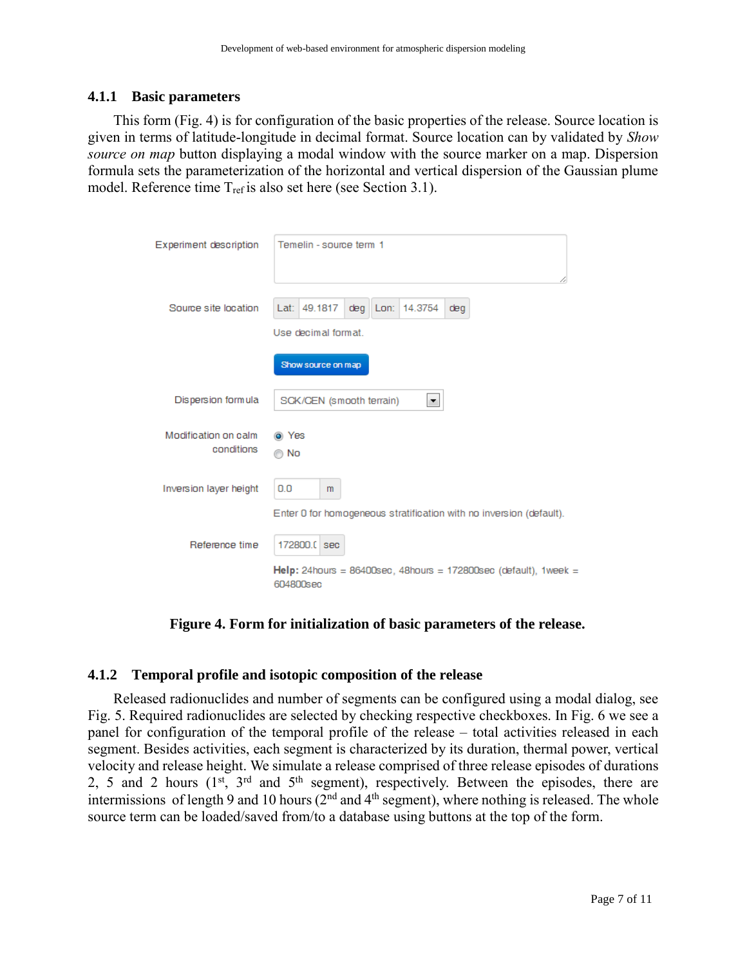#### **4.1.1 Basic parameters**

 This form (Fig. 4) is for configuration of the basic properties of the release. Source location is given in terms of latitude-longitude in decimal format. Source location can by validated by *Show source on map* button displaying a modal window with the source marker on a map. Dispersion formula sets the parameterization of the horizontal and vertical dispersion of the Gaussian plume model. Reference time T<sub>ref</sub> is also set here (see Section 3.1).

| Experiment description             | Temelin - source term 1                                                         |
|------------------------------------|---------------------------------------------------------------------------------|
| Source site location               | Lat: 49.1817<br>14.3754<br>deg<br>Lon:<br>deg<br>Use decimal format.            |
|                                    | Show source on map                                                              |
| Dispersion formula                 | SCK/CEN (smooth terrain)<br>×.                                                  |
| Modification on calm<br>conditions | O Yes<br>© No                                                                   |
| Inversion layer height             | 0.0<br>m<br>Enter 0 for homogeneous stratification with no inversion (default). |
| Reference time                     | 172800.0 sec                                                                    |
|                                    | Help: 24hours = 86400sec, 48hours = 172800sec (default), 1week =<br>604800sec   |

**Figure 4. Form for initialization of basic parameters of the release.**

#### **4.1.2 Temporal profile and isotopic composition of the release**

 Released radionuclides and number of segments can be configured using a modal dialog, see Fig. 5. Required radionuclides are selected by checking respective checkboxes. In Fig. 6 we see a panel for configuration of the temporal profile of the release – total activities released in each segment. Besides activities, each segment is characterized by its duration, thermal power, vertical velocity and release height. We simulate a release comprised of three release episodes of durations 2, 5 and 2 hours  $(1^{st}, 3^{rd}$  and  $5^{th}$  segment), respectively. Between the episodes, there are intermissions of length 9 and 10 hours  $(2^{nd}$  and  $4^{th}$  segment), where nothing is released. The whole source term can be loaded/saved from/to a database using buttons at the top of the form.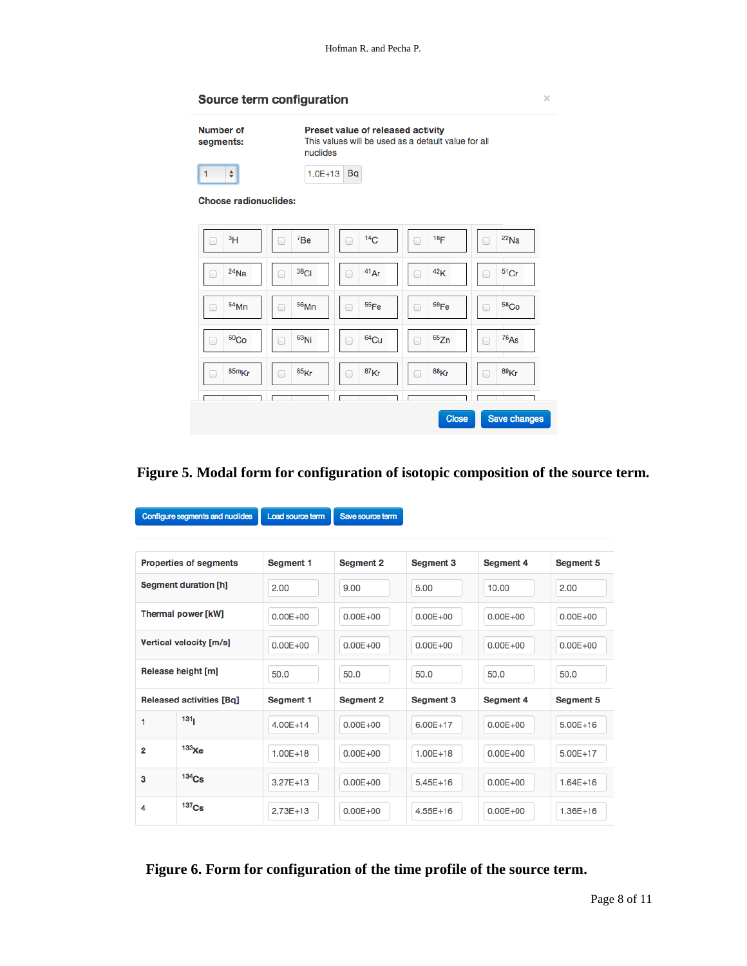Source term configuration

 $\bar{\chi}$ 

| Number of<br>segments:       | Preset value of released activity<br>This values will be used as a default value for all<br>nuclides |                       |                 |                       |  |  |
|------------------------------|------------------------------------------------------------------------------------------------------|-----------------------|-----------------|-----------------------|--|--|
| $\div$                       | $1.0E + 13$                                                                                          | <b>Bq</b>             |                 |                       |  |  |
| <b>Choose radionuclides:</b> |                                                                                                      |                       |                 |                       |  |  |
|                              |                                                                                                      |                       |                 |                       |  |  |
| 3 <sub>H</sub>               | 7B <sub>e</sub>                                                                                      | 14 <sub>C</sub>       | 18 <sub>F</sub> | $22$ Na               |  |  |
| $24$ Na<br>■                 | $38$ Cl<br>m                                                                                         | 41Ar<br>۰             | 42K<br>m        | $51$ Cr<br>m          |  |  |
| $54$ Mn<br>۰                 | $56$ Mn<br>m                                                                                         | 55 <sub>Fe</sub><br>□ | 59Fe<br>□       | 58 <sub>Co</sub><br>n |  |  |
| 60 <sub>Co</sub><br>m        | $63$ Ni<br>۰                                                                                         | $64$ Cu<br>m          | 65Zn<br>m       | 76 <sub>As</sub><br>m |  |  |
| 85m <sub>Kr</sub><br>0       | 85 <sub>Kr</sub><br>f m                                                                              | 87 <sub>Kr</sub><br>0 | $88$ Kr<br>O    | $89$ Kr<br>m          |  |  |
|                              |                                                                                                      |                       |                 |                       |  |  |
|                              |                                                                                                      |                       | <b>Close</b>    | Save changes          |  |  |

### **Figure 5. Modal form for configuration of isotopic composition of the source term.**

| Configure segments and nuclides |                                 | Load source term | Save source term |              |                  |                  |
|---------------------------------|---------------------------------|------------------|------------------|--------------|------------------|------------------|
|                                 |                                 |                  |                  |              |                  |                  |
|                                 | <b>Properties of segments</b>   | Segment 1        | <b>Segment 2</b> | Segment 3    | <b>Segment 4</b> | <b>Segment 5</b> |
| <b>Segment duration [h]</b>     |                                 | 2.00             | 9.00             | 5.00         | 10.00            | 2.00             |
| Thermal power [kW]              |                                 | $0.00E + 00$     | $0.00E + 00$     | $0.00E + 00$ | $0.00E + 00$     | $0.00E + 00$     |
| Vertical velocity [m/s]         |                                 | $0.00E + 00$     | $0.00E + 00$     | $0.00E + 00$ | $0.00E + 00$     | $0.00E + 00$     |
| Release height [m]              |                                 | 50.0             | 50.0             | 50.0         | 50.0             | 50.0             |
|                                 | <b>Released activities [Bq]</b> | Segment 1        | <b>Segment 2</b> | Segment 3    | <b>Segment 4</b> | <b>Segment 5</b> |
| 1                               | 131                             | $4.00E + 14$     | $0.00E + 00$     | 6.00E+17     | $0.00E + 00$     | $5.00E + 16$     |
| $\overline{2}$                  | 133 <sub>Xe</sub>               | $1.00E + 18$     | $0.00E + 00$     | $1.00E + 18$ | $0.00E + 00$     | 5.00E+17         |
| З                               | $134$ Cs                        | $3.27E + 13$     | $0.00E + 00$     | $5.45E+16$   | $0.00E + 00$     | $1.64E + 16$     |
| 4                               | 137 <sub>Cs</sub>               | $2.73E+13$       | $0.00E + 00$     | $4.55E+16$   | $0.00E + 00$     | $1.36E+16$       |

### **Figure 6. Form for configuration of the time profile of the source term.**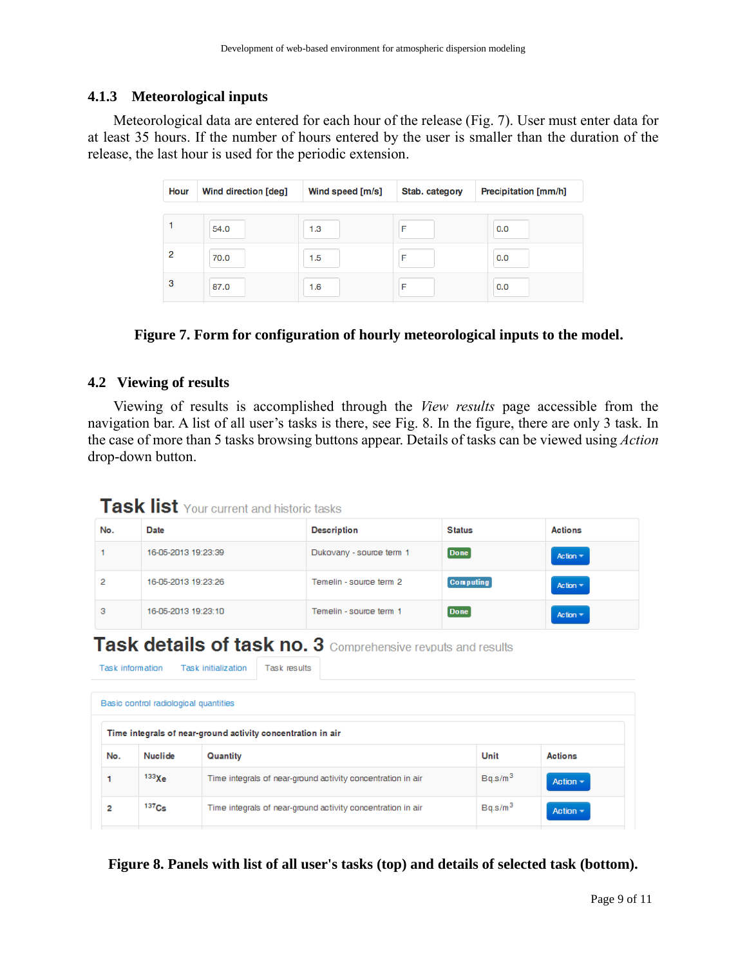#### **4.1.3 Meteorological inputs**

 Meteorological data are entered for each hour of the release (Fig. 7). User must enter data for at least 35 hours. If the number of hours entered by the user is smaller than the duration of the release, the last hour is used for the periodic extension.

| Hour | <b>Wind direction [deg]</b> | Wind speed [m/s] | Stab. category | Precipitation [mm/h] |
|------|-----------------------------|------------------|----------------|----------------------|
|      |                             |                  |                |                      |
|      | 54.0                        | 1.3              | F              | 0.0                  |
| 2    | 70.0                        | 1.5              |                | 0.0                  |
| 3    | 87.0                        | 1.6              | F              | 0.0                  |

#### **Figure 7. Form for configuration of hourly meteorological inputs to the model.**

#### **4.2 Viewing of results**

Task information

 Viewing of results is accomplished through the *View results* page accessible from the navigation bar. A list of all user's tasks is there, see Fig. 8. In the figure, there are only 3 task. In the case of more than 5 tasks browsing buttons appear. Details of tasks can be viewed using *Action* drop-down button.

### **Task list** Your current and historic tasks

Task initialization Task results

| No. | Date                | <b>Description</b>       | <b>Status</b>    | <b>Actions</b>  |
|-----|---------------------|--------------------------|------------------|-----------------|
|     | 16-05-2013 19:23:39 | Dukovany - source term 1 | Done             | Action $\equiv$ |
| 2   | 16-05-2013 19:23:26 | Temelin - source term 2  | <b>Computing</b> | Action $\equiv$ |
| з   | 16-05-2013 19:23:10 | Temelin - source term 1  | <b>Done</b>      | Action $\equiv$ |

## **Task details of task no. 3** Comprehensive revouts and results

| Basic control radiological quantities |                                                             |                                                             |                     |                |  |  |
|---------------------------------------|-------------------------------------------------------------|-------------------------------------------------------------|---------------------|----------------|--|--|
|                                       | Time integrals of near-ground activity concentration in air |                                                             |                     |                |  |  |
| No.                                   | Nuclide                                                     | Quantity                                                    | Unit                | <b>Actions</b> |  |  |
|                                       | $133\chi$ e                                                 | Time integrals of near-ground activity concentration in air | Bq.s/m <sup>3</sup> | Action $\sim$  |  |  |
| 2                                     | 137C <sub>S</sub>                                           | Time integrals of near-ground activity concentration in air | Bq.s/m <sup>3</sup> | Action $\sim$  |  |  |

**Figure 8. Panels with list of all user's tasks (top) and details of selected task (bottom).**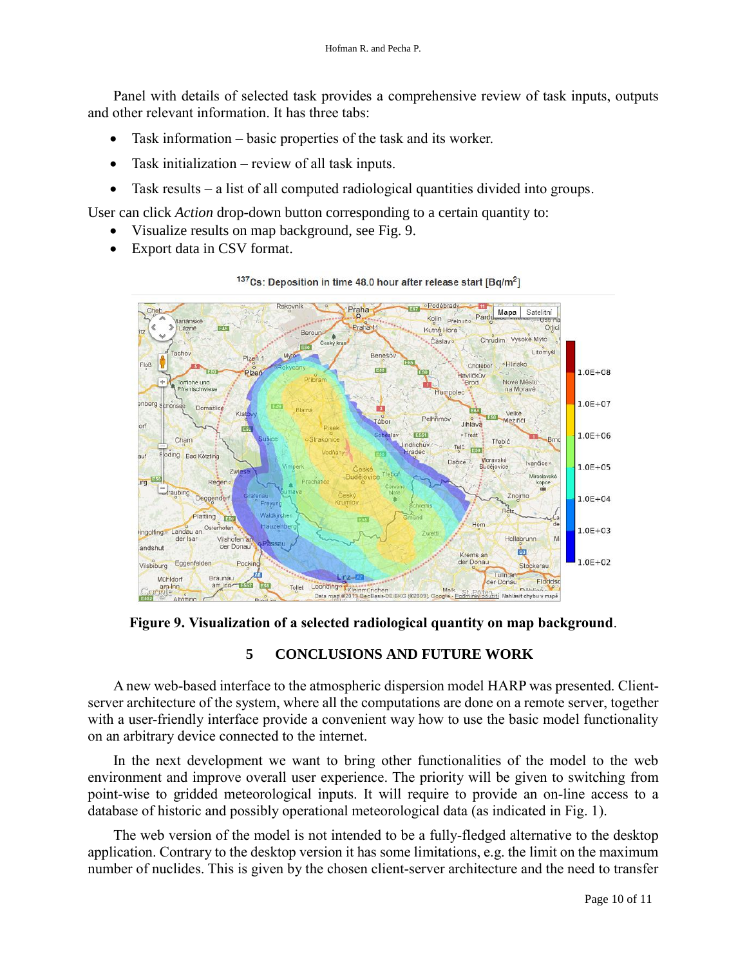Panel with details of selected task provides a comprehensive review of task inputs, outputs and other relevant information. It has three tabs:

- Task information basic properties of the task and its worker.
- Task initialization review of all task inputs.
- Task results a list of all computed radiological quantities divided into groups.

User can click *Action* drop-down button corresponding to a certain quantity to:

- Visualize results on map background, see Fig. 9.
- Export data in CSV format.



<sup>137</sup>Cs: Deposition in time 48.0 hour after release start [Bq/m<sup>2</sup>]

**Figure 9. Visualization of a selected radiological quantity on map background**.

#### **5 CONCLUSIONS AND FUTURE WORK**

 A new web-based interface to the atmospheric dispersion model HARP was presented. Clientserver architecture of the system, where all the computations are done on a remote server, together with a user-friendly interface provide a convenient way how to use the basic model functionality on an arbitrary device connected to the internet.

 In the next development we want to bring other functionalities of the model to the web environment and improve overall user experience. The priority will be given to switching from point-wise to gridded meteorological inputs. It will require to provide an on-line access to a database of historic and possibly operational meteorological data (as indicated in Fig. 1).

 The web version of the model is not intended to be a fully-fledged alternative to the desktop application. Contrary to the desktop version it has some limitations, e.g. the limit on the maximum number of nuclides. This is given by the chosen client-server architecture and the need to transfer